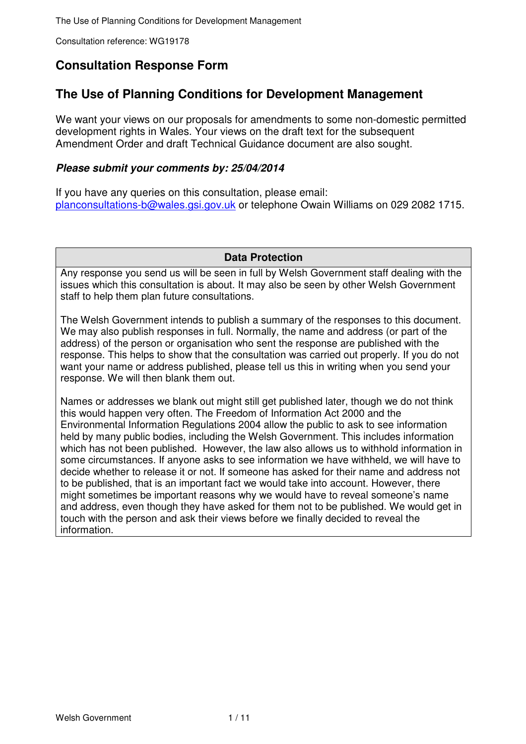# **Consultation Response Form**

# **The Use of Planning Conditions for Development Management**

We want your views on our proposals for amendments to some non-domestic permitted development rights in Wales. Your views on the draft text for the subsequent Amendment Order and draft Technical Guidance document are also sought.

## **Please submit your comments by: 25/04/2014**

If you have any queries on this consultation, please email: planconsultations-b@wales.gsi.gov.uk or telephone Owain Williams on 029 2082 1715.

## **Data Protection**

Any response you send us will be seen in full by Welsh Government staff dealing with the issues which this consultation is about. It may also be seen by other Welsh Government staff to help them plan future consultations.

The Welsh Government intends to publish a summary of the responses to this document. We may also publish responses in full. Normally, the name and address (or part of the address) of the person or organisation who sent the response are published with the response. This helps to show that the consultation was carried out properly. If you do not want your name or address published, please tell us this in writing when you send your response. We will then blank them out.

Names or addresses we blank out might still get published later, though we do not think this would happen very often. The Freedom of Information Act 2000 and the Environmental Information Regulations 2004 allow the public to ask to see information held by many public bodies, including the Welsh Government. This includes information which has not been published. However, the law also allows us to withhold information in some circumstances. If anyone asks to see information we have withheld, we will have to decide whether to release it or not. If someone has asked for their name and address not to be published, that is an important fact we would take into account. However, there might sometimes be important reasons why we would have to reveal someone's name and address, even though they have asked for them not to be published. We would get in touch with the person and ask their views before we finally decided to reveal the information.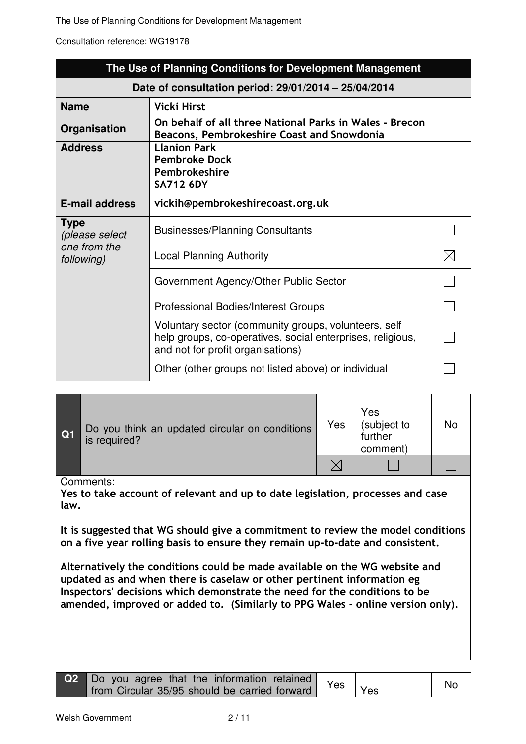The Use of Planning Conditions for Development Management

Consultation reference: WG19178

|                               | The Use of Planning Conditions for Development Management                                                                                               |    |  |  |
|-------------------------------|---------------------------------------------------------------------------------------------------------------------------------------------------------|----|--|--|
|                               | Date of consultation period: 29/01/2014 - 25/04/2014                                                                                                    |    |  |  |
| <b>Name</b>                   | <b>Vicki Hirst</b>                                                                                                                                      |    |  |  |
| Organisation                  | On behalf of all three National Parks in Wales - Brecon<br>Beacons, Pembrokeshire Coast and Snowdonia                                                   |    |  |  |
| <b>Address</b>                | <b>Llanion Park</b><br><b>Pembroke Dock</b><br>Pembrokeshire<br><b>SA712 6DY</b>                                                                        |    |  |  |
| <b>E-mail address</b>         | vickih@pembrokeshirecoast.org.uk                                                                                                                        |    |  |  |
| <b>Type</b><br>(please select | <b>Businesses/Planning Consultants</b>                                                                                                                  |    |  |  |
| one from the<br>following)    | <b>Local Planning Authority</b>                                                                                                                         | IX |  |  |
|                               | Government Agency/Other Public Sector                                                                                                                   |    |  |  |
|                               | <b>Professional Bodies/Interest Groups</b>                                                                                                              |    |  |  |
|                               | Voluntary sector (community groups, volunteers, self<br>help groups, co-operatives, social enterprises, religious,<br>and not for profit organisations) |    |  |  |
|                               | Other (other groups not listed above) or individual                                                                                                     |    |  |  |

| Q1 | Do you think an updated circular on conditions<br>is required? | Yes | Yes<br>(subject to<br>further<br>comment) | No |
|----|----------------------------------------------------------------|-----|-------------------------------------------|----|
|    |                                                                |     |                                           |    |

Comments:

Yes to take account of relevant and up to date legislation, processes and case law.

It is suggested that WG should give a commitment to review the model conditions on a five year rolling basis to ensure they remain up-to-date and consistent.

Alternatively the conditions could be made available on the WG website and updated as and when there is caselaw or other pertinent information eg Inspectors' decisions which demonstrate the need for the conditions to be amended, improved or added to. (Similarly to PPG Wales - online version only).

| $\rightarrow$ Do you agree that the information retained Yes $\vert$ Yes $\vert$ No |  |  |
|-------------------------------------------------------------------------------------|--|--|
|                                                                                     |  |  |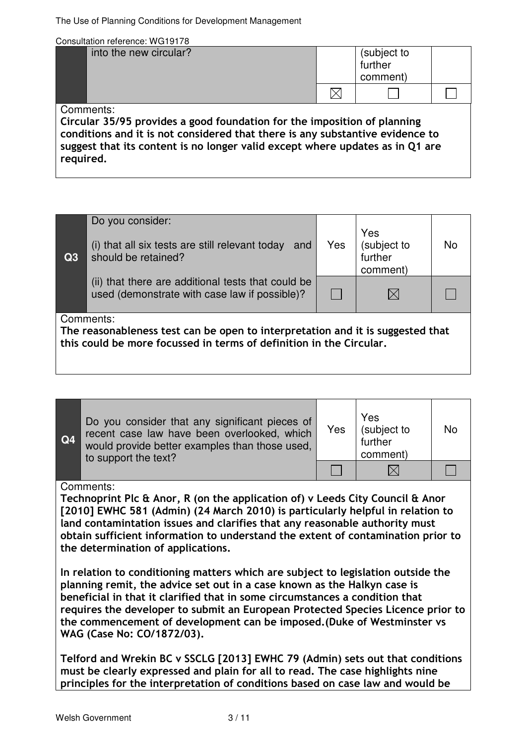The Use of Planning Conditions for Development Management

Consultation reference: WG19178

| into the new circular? | (subject to<br>further<br>comment) |  |
|------------------------|------------------------------------|--|
|                        |                                    |  |
| Comments:              |                                    |  |

Circular 35/95 provides a good foundation for the imposition of planning conditions and it is not considered that there is any substantive evidence to suggest that its content is no longer valid except where updates as in Q1 are required.

| Q3 | Do you consider:<br>(i) that all six tests are still relevant today<br>and<br>should be retained?                                                                  | Yes | Yes<br>(subject to<br>further<br>comment) | <b>No</b> |
|----|--------------------------------------------------------------------------------------------------------------------------------------------------------------------|-----|-------------------------------------------|-----------|
|    | (ii) that there are additional tests that could be<br>used (demonstrate with case law if possible)?                                                                |     |                                           |           |
|    | Comments:<br>The reasonableness test can be open to interpretation and it is suggested that<br>this could be more focussed in terms of definition in the Circular. |     |                                           |           |

| Q4 | Do you consider that any significant pieces of<br>recent case law have been overlooked, which<br>would provide better examples than those used,<br>to support the text? | Yes | Yes<br>(subject to<br>further<br>comment) |  |
|----|-------------------------------------------------------------------------------------------------------------------------------------------------------------------------|-----|-------------------------------------------|--|
|    |                                                                                                                                                                         |     |                                           |  |
|    |                                                                                                                                                                         |     |                                           |  |

Comments:

Technoprint Plc & Anor, R (on the application of) v Leeds City Council & Anor [2010] EWHC 581 (Admin) (24 March 2010) is particularly helpful in relation to land contamintation issues and clarifies that any reasonable authority must obtain sufficient information to understand the extent of contamination prior to the determination of applications.

In relation to conditioning matters which are subject to legislation outside the planning remit, the advice set out in a case known as the Halkyn case is beneficial in that it clarified that in some circumstances a condition that requires the developer to submit an European Protected Species Licence prior to the commencement of development can be imposed.(Duke of Westminster vs WAG (Case No: CO/1872/03).

Telford and Wrekin BC v SSCLG [2013] EWHC 79 (Admin) sets out that conditions must be clearly expressed and plain for all to read. The case highlights nine principles for the interpretation of conditions based on case law and would be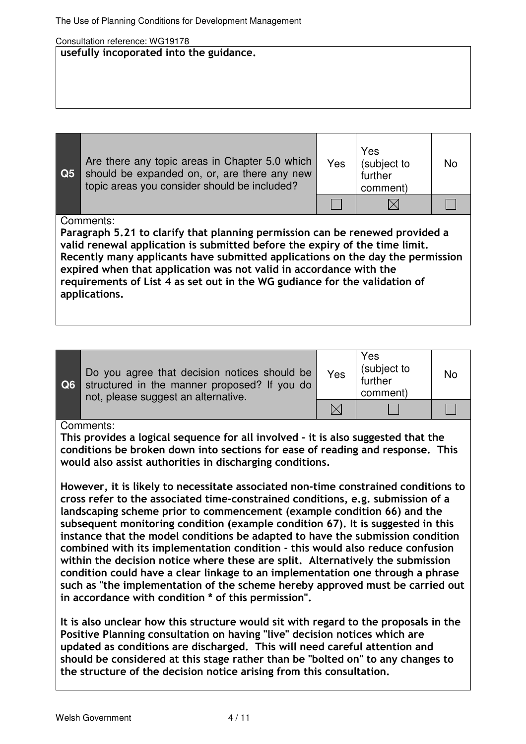### usefully incoporated into the guidance.

| Q <sub>5</sub> | Are there any topic areas in Chapter 5.0 which<br>should be expanded on, or, are there any new<br>topic areas you consider should be included?                                                                                                                                                                                                                                                                                  | Yes | Yes<br>(subject to<br>further<br>comment) | No |
|----------------|---------------------------------------------------------------------------------------------------------------------------------------------------------------------------------------------------------------------------------------------------------------------------------------------------------------------------------------------------------------------------------------------------------------------------------|-----|-------------------------------------------|----|
|                |                                                                                                                                                                                                                                                                                                                                                                                                                                 |     |                                           |    |
|                | Comments:<br>Paragraph 5.21 to clarify that planning permission can be renewed provided a<br>valid renewal application is submitted before the expiry of the time limit.<br>Recently many applicants have submitted applications on the day the permission<br>expired when that application was not valid in accordance with the<br>requirements of List 4 as set out in the WG gudiance for the validation of<br>applications. |     |                                           |    |

| <b>Q6</b> | Do you agree that decision notices should be<br>structured in the manner proposed? If you do<br>not, please suggest an alternative. | Yes | Yes<br>(subject to<br>further<br>comment) | <b>No</b> |
|-----------|-------------------------------------------------------------------------------------------------------------------------------------|-----|-------------------------------------------|-----------|
|           |                                                                                                                                     |     |                                           |           |

## Comments:

This provides a logical sequence for all involved - it is also suggested that the conditions be broken down into sections for ease of reading and response. This would also assist authorities in discharging conditions.

However, it is likely to necessitate associated non-time constrained conditions to cross refer to the associated time-constrained conditions, e.g. submission of a landscaping scheme prior to commencement (example condition 66) and the subsequent monitoring condition (example condition 67). It is suggested in this instance that the model conditions be adapted to have the submission condition combined with its implementation condition - this would also reduce confusion within the decision notice where these are split. Alternatively the submission condition could have a clear linkage to an implementation one through a phrase such as "the implementation of the scheme hereby approved must be carried out in accordance with condition \* of this permission".

It is also unclear how this structure would sit with regard to the proposals in the Positive Planning consultation on having "live" decision notices which are updated as conditions are discharged. This will need careful attention and should be considered at this stage rather than be "bolted on" to any changes to the structure of the decision notice arising from this consultation.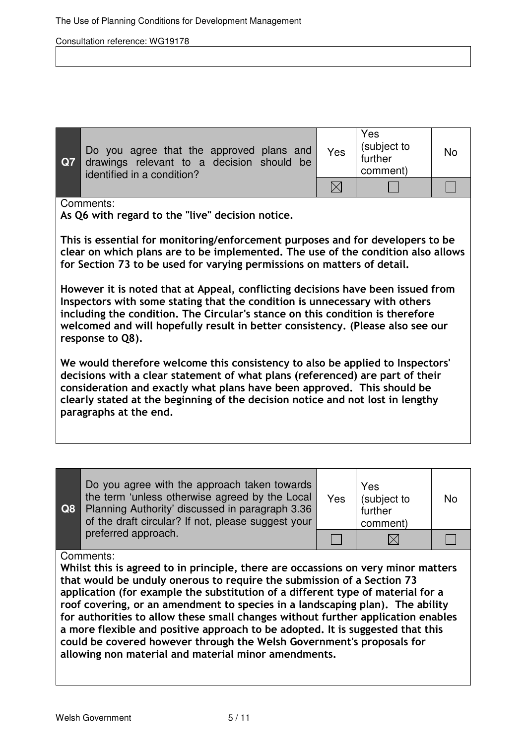| <b>Q7</b> | Do you agree that the approved plans and<br>drawings relevant to a decision should be<br>identified in a condition? | Yes | Yes<br>(subject to<br>further<br>comment) | <b>No</b> |
|-----------|---------------------------------------------------------------------------------------------------------------------|-----|-------------------------------------------|-----------|
|           |                                                                                                                     |     |                                           |           |

#### Comments:

As Q6 with regard to the "live" decision notice.

This is essential for monitoring/enforcement purposes and for developers to be clear on which plans are to be implemented. The use of the condition also allows for Section 73 to be used for varying permissions on matters of detail.

However it is noted that at Appeal, conflicting decisions have been issued from Inspectors with some stating that the condition is unnecessary with others including the condition. The Circular's stance on this condition is therefore welcomed and will hopefully result in better consistency. (Please also see our response to Q8).

We would therefore welcome this consistency to also be applied to Inspectors' decisions with a clear statement of what plans (referenced) are part of their consideration and exactly what plans have been approved. This should be clearly stated at the beginning of the decision notice and not lost in lengthy paragraphs at the end.

| Q8 | Do you agree with the approach taken towards<br>the term 'unless otherwise agreed by the Local<br>Planning Authority' discussed in paragraph 3.36<br>of the draft circular? If not, please suggest your | Yes | Yes<br>(subject to<br>further<br>comment) | <b>No</b> |
|----|---------------------------------------------------------------------------------------------------------------------------------------------------------------------------------------------------------|-----|-------------------------------------------|-----------|
|    | preferred approach.                                                                                                                                                                                     |     |                                           |           |

### Comments:

Whilst this is agreed to in principle, there are occassions on very minor matters that would be unduly onerous to require the submission of a Section 73 application (for example the substitution of a different type of material for a roof covering, or an amendment to species in a landscaping plan). The ability for authorities to allow these small changes without further application enables a more flexible and positive approach to be adopted. It is suggested that this could be covered however through the Welsh Government's proposals for allowing non material and material minor amendments.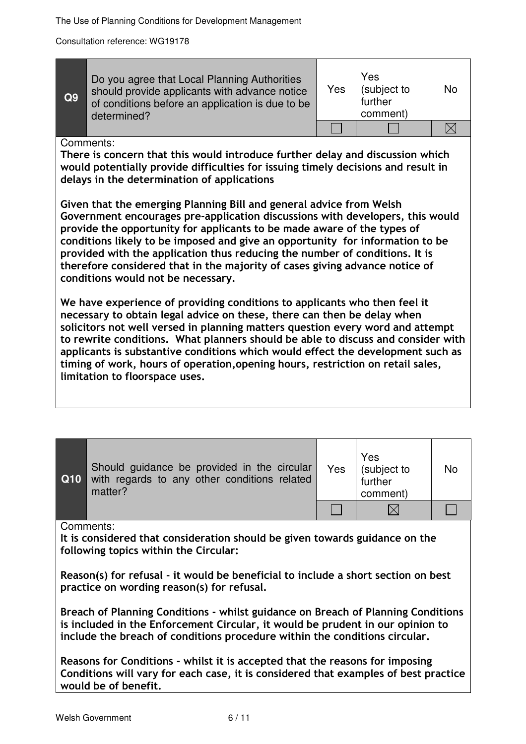| Q9 | Do you agree that Local Planning Authorities<br>should provide applicants with advance notice<br>of conditions before an application is due to be<br>determined? | Yes | Yes<br>(subject to<br>further<br>comment) |  |
|----|------------------------------------------------------------------------------------------------------------------------------------------------------------------|-----|-------------------------------------------|--|
|    |                                                                                                                                                                  |     |                                           |  |

#### Comments:

There is concern that this would introduce further delay and discussion which would potentially provide difficulties for issuing timely decisions and result in delays in the determination of applications

Given that the emerging Planning Bill and general advice from Welsh Government encourages pre-application discussions with developers, this would provide the opportunity for applicants to be made aware of the types of conditions likely to be imposed and give an opportunity for information to be provided with the application thus reducing the number of conditions. It is therefore considered that in the majority of cases giving advance notice of conditions would not be necessary.

We have experience of providing conditions to applicants who then feel it necessary to obtain legal advice on these, there can then be delay when solicitors not well versed in planning matters question every word and attempt to rewrite conditions. What planners should be able to discuss and consider with applicants is substantive conditions which would effect the development such as timing of work, hours of operation,opening hours, restriction on retail sales, limitation to floorspace uses.

| Q10 | Should guidance be provided in the circular<br>with regards to any other conditions related<br>matter? | Yes | Yes<br>(subject to<br>further<br>comment) | <b>No</b> |
|-----|--------------------------------------------------------------------------------------------------------|-----|-------------------------------------------|-----------|
|     |                                                                                                        |     |                                           |           |

Comments:

It is considered that consideration should be given towards guidance on the following topics within the Circular:

Reason(s) for refusal - it would be beneficial to include a short section on best practice on wording reason(s) for refusal.

Breach of Planning Conditions - whilst guidance on Breach of Planning Conditions is included in the Enforcement Circular, it would be prudent in our opinion to include the breach of conditions procedure within the conditions circular.

Reasons for Conditions - whilst it is accepted that the reasons for imposing Conditions will vary for each case, it is considered that examples of best practice would be of benefit.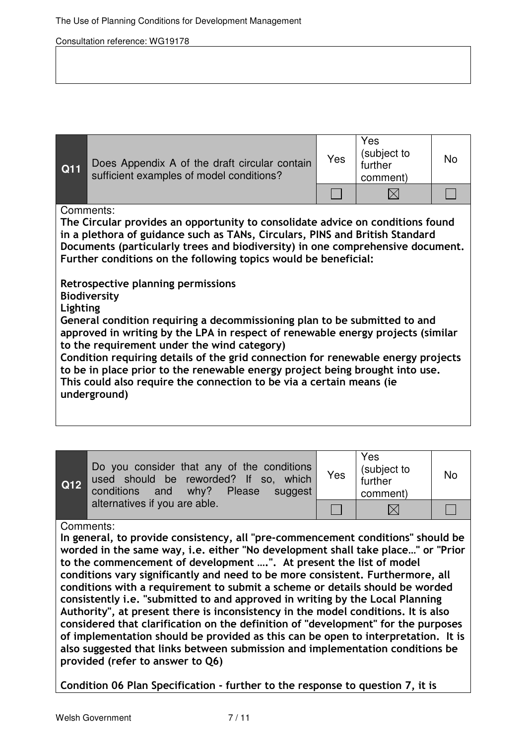| Q11      | Does Appendix A of the draft circular contain<br>sufficient examples of model conditions?                                                                                                                                                                                                                                                                                                                                                                                                                                                                                                                                                                                                                                                                                                                                                                                | Yes | Yes<br>(subject to<br>further<br>comment) | <b>No</b> |
|----------|--------------------------------------------------------------------------------------------------------------------------------------------------------------------------------------------------------------------------------------------------------------------------------------------------------------------------------------------------------------------------------------------------------------------------------------------------------------------------------------------------------------------------------------------------------------------------------------------------------------------------------------------------------------------------------------------------------------------------------------------------------------------------------------------------------------------------------------------------------------------------|-----|-------------------------------------------|-----------|
|          |                                                                                                                                                                                                                                                                                                                                                                                                                                                                                                                                                                                                                                                                                                                                                                                                                                                                          |     | IX                                        |           |
| Lighting | Comments:<br>The Circular provides an opportunity to consolidate advice on conditions found<br>in a plethora of guidance such as TANs, Circulars, PINS and British Standard<br>Documents (particularly trees and biodiversity) in one comprehensive document.<br>Further conditions on the following topics would be beneficial:<br>Retrospective planning permissions<br><b>Biodiversity</b><br>General condition requiring a decommissioning plan to be submitted to and<br>approved in writing by the LPA in respect of renewable energy projects (similar<br>to the requirement under the wind category)<br>Condition requiring details of the grid connection for renewable energy projects<br>to be in place prior to the renewable energy project being brought into use.<br>This could also require the connection to be via a certain means (ie<br>underground) |     |                                           |           |

| $\boxed{\mathsf{Q12}}$ | Do you consider that any of the conditions<br>used should be reworded? If so, which<br>conditions and why? Please suggest | Yes | Yes<br>(subject to<br>further<br>comment) | <b>No</b> |
|------------------------|---------------------------------------------------------------------------------------------------------------------------|-----|-------------------------------------------|-----------|
|                        | alternatives if you are able.                                                                                             |     |                                           |           |

Comments:

In general, to provide consistency, all "pre-commencement conditions" should be worded in the same way, i.e. either "No development shall take place…" or "Prior to the commencement of development ….". At present the list of model conditions vary significantly and need to be more consistent. Furthermore, all conditions with a requirement to submit a scheme or details should be worded consistently i.e. "submitted to and approved in writing by the Local Planning Authority", at present there is inconsistency in the model conditions. It is also considered that clarification on the definition of "development" for the purposes of implementation should be provided as this can be open to interpretation. It is also suggested that links between submission and implementation conditions be provided (refer to answer to Q6)

Condition 06 Plan Specification - further to the response to question 7, it is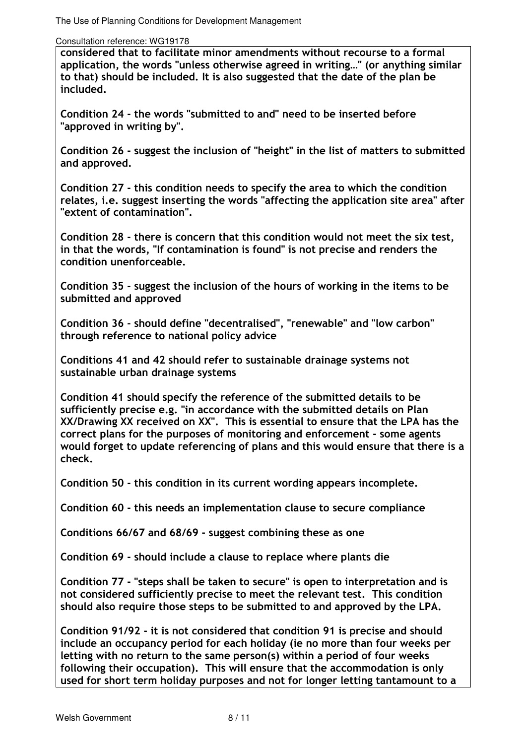considered that to facilitate minor amendments without recourse to a formal application, the words "unless otherwise agreed in writing…" (or anything similar to that) should be included. It is also suggested that the date of the plan be included.

Condition 24 - the words "submitted to and" need to be inserted before "approved in writing by".

Condition 26 - suggest the inclusion of "height" in the list of matters to submitted and approved.

Condition 27 - this condition needs to specify the area to which the condition relates, i.e. suggest inserting the words "affecting the application site area" after "extent of contamination".

Condition 28 - there is concern that this condition would not meet the six test, in that the words, "If contamination is found" is not precise and renders the condition unenforceable.

Condition 35 - suggest the inclusion of the hours of working in the items to be submitted and approved

Condition 36 - should define "decentralised", "renewable" and "low carbon" through reference to national policy advice

Conditions 41 and 42 should refer to sustainable drainage systems not sustainable urban drainage systems

Condition 41 should specify the reference of the submitted details to be sufficiently precise e.g. "in accordance with the submitted details on Plan XX/Drawing XX received on XX". This is essential to ensure that the LPA has the correct plans for the purposes of monitoring and enforcement - some agents would forget to update referencing of plans and this would ensure that there is a check.

Condition 50 - this condition in its current wording appears incomplete.

Condition 60 - this needs an implementation clause to secure compliance

Conditions 66/67 and 68/69 - suggest combining these as one

Condition 69 - should include a clause to replace where plants die

Condition 77 - "steps shall be taken to secure" is open to interpretation and is not considered sufficiently precise to meet the relevant test. This condition should also require those steps to be submitted to and approved by the LPA.

Condition 91/92 - it is not considered that condition 91 is precise and should include an occupancy period for each holiday (ie no more than four weeks per letting with no return to the same person(s) within a period of four weeks following their occupation). This will ensure that the accommodation is only used for short term holiday purposes and not for longer letting tantamount to a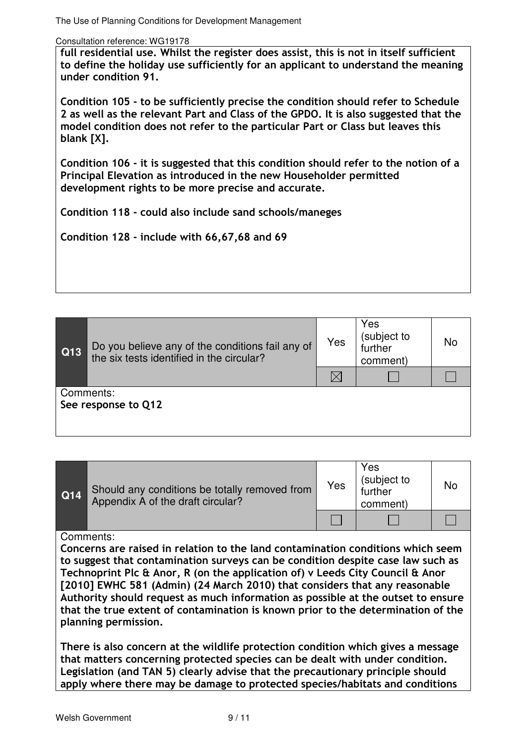full residential use. Whilst the register does assist, this is not in itself sufficient to define the holiday use sufficiently for an applicant to understand the meaning under condition 91.

Condition 105 - to be sufficiently precise the condition should refer to Schedule 2 as well as the relevant Part and Class of the GPDO. It is also suggested that the model condition does not refer to the particular Part or Class but leaves this blank [X].

Condition 106 - it is suggested that this condition should refer to the notion of a Principal Elevation as introduced in the new Householder permitted development rights to be more precise and accurate.

Condition 118 - could also include sand schools/maneges

Condition 128 - include with 66,67,68 and 69

| Q13                              | Do you believe any of the conditions fail any of<br>the six tests identified in the circular? | Yes         | Yes<br>(subject to<br>further<br>comment) | No |
|----------------------------------|-----------------------------------------------------------------------------------------------|-------------|-------------------------------------------|----|
|                                  |                                                                                               | $\boxtimes$ |                                           |    |
| Comments:<br>See response to Q12 |                                                                                               |             |                                           |    |

| Q14 | Should any conditions be totally removed from<br>Appendix A of the draft circular? | Yes | Yes<br>(subject to<br>further<br>comment) | No |
|-----|------------------------------------------------------------------------------------|-----|-------------------------------------------|----|
|     |                                                                                    |     |                                           |    |

#### Comments:

Concerns are raised in relation to the land contamination conditions which seem to suggest that contamination surveys can be condition despite case law such as Technoprint Plc & Anor, R (on the application of) v Leeds City Council & Anor [2010] EWHC 581 (Admin) (24 March 2010) that considers that any reasonable Authority should request as much information as possible at the outset to ensure that the true extent of contamination is known prior to the determination of the planning permission.

There is also concern at the wildlife protection condition which gives a message that matters concerning protected species can be dealt with under condition. Legislation (and TAN 5) clearly advise that the precautionary principle should apply where there may be damage to protected species/habitats and conditions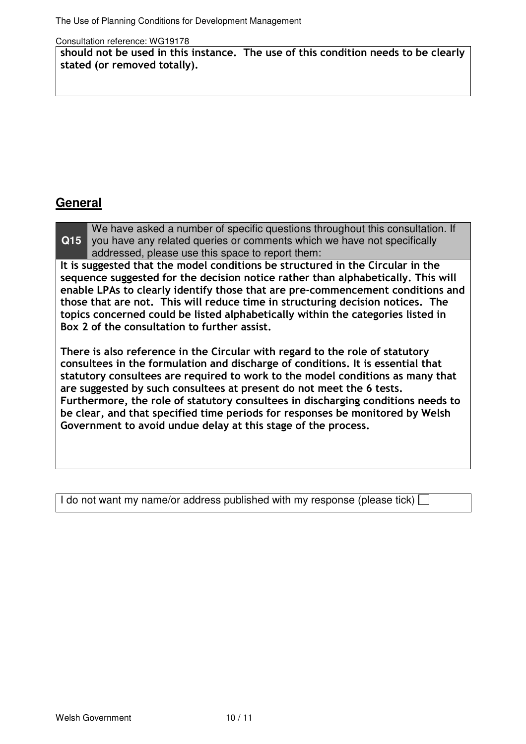should not be used in this instance. The use of this condition needs to be clearly stated (or removed totally).

# **General**

**Q15** We have asked a number of specific questions throughout this consultation. If you have any related queries or comments which we have not specifically addressed, please use this space to report them:

It is suggested that the model conditions be structured in the Circular in the sequence suggested for the decision notice rather than alphabetically. This will enable LPAs to clearly identify those that are pre-commencement conditions and those that are not. This will reduce time in structuring decision notices. The topics concerned could be listed alphabetically within the categories listed in Box 2 of the consultation to further assist.

There is also reference in the Circular with regard to the role of statutory consultees in the formulation and discharge of conditions. It is essential that statutory consultees are required to work to the model conditions as many that are suggested by such consultees at present do not meet the 6 tests. Furthermore, the role of statutory consultees in discharging conditions needs to be clear, and that specified time periods for responses be monitored by Welsh Government to avoid undue delay at this stage of the process.

I do not want my name/or address published with my response (please tick)  $\Box$